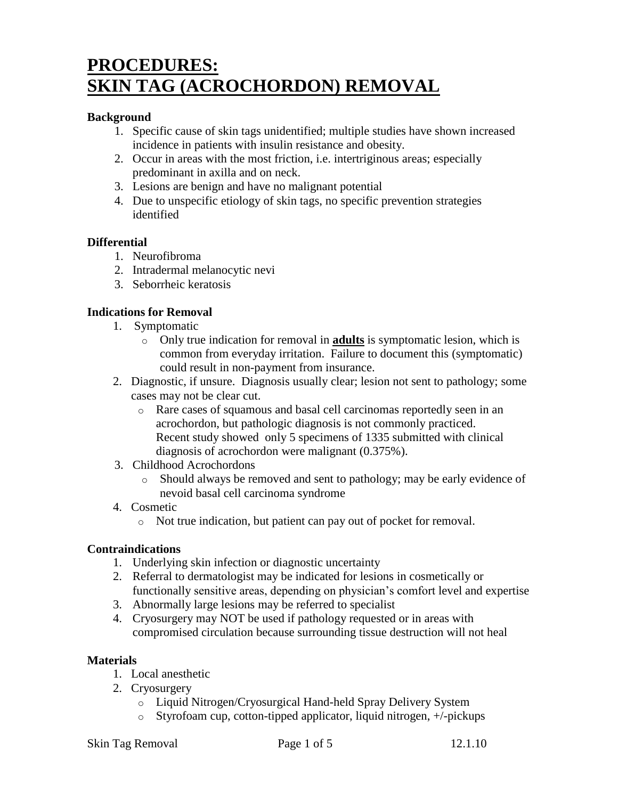# **PROCEDURES: SKIN TAG (ACROCHORDON) REMOVAL**

## **Background**

- 1. Specific cause of skin tags unidentified; multiple studies have shown increased incidence in patients with insulin resistance and obesity.
- 2. Occur in areas with the most friction, i.e. intertriginous areas; especially predominant in axilla and on neck.
- 3. Lesions are benign and have no malignant potential
- 4. Due to unspecific etiology of skin tags, no specific prevention strategies identified

## **Differential**

- 1. Neurofibroma
- 2. Intradermal melanocytic nevi
- 3. Seborrheic keratosis

# **Indications for Removal**

- 1. Symptomatic
	- o Only true indication for removal in **adults** is symptomatic lesion, which is common from everyday irritation. Failure to document this (symptomatic) could result in non-payment from insurance.
- 2. Diagnostic, if unsure. Diagnosis usually clear; lesion not sent to pathology; some cases may not be clear cut.
	- o Rare cases of squamous and basal cell carcinomas reportedly seen in an acrochordon, but pathologic diagnosis is not commonly practiced. Recent study showed only 5 specimens of 1335 submitted with clinical diagnosis of acrochordon were malignant (0.375%).
- 3. Childhood Acrochordons
	- o Should always be removed and sent to pathology; may be early evidence of nevoid basal cell carcinoma syndrome

# 4. Cosmetic

o Not true indication, but patient can pay out of pocket for removal.

# **Contraindications**

- 1. Underlying skin infection or diagnostic uncertainty
- 2. Referral to dermatologist may be indicated for lesions in cosmetically or functionally sensitive areas, depending on physician's comfort level and expertise
- 3. Abnormally large lesions may be referred to specialist
- 4. Cryosurgery may NOT be used if pathology requested or in areas with compromised circulation because surrounding tissue destruction will not heal

# **Materials**

- 1. Local anesthetic
- 2. Cryosurgery
	- o Liquid Nitrogen/Cryosurgical Hand-held Spray Delivery System
	- o Styrofoam cup, cotton-tipped applicator, liquid nitrogen, +/-pickups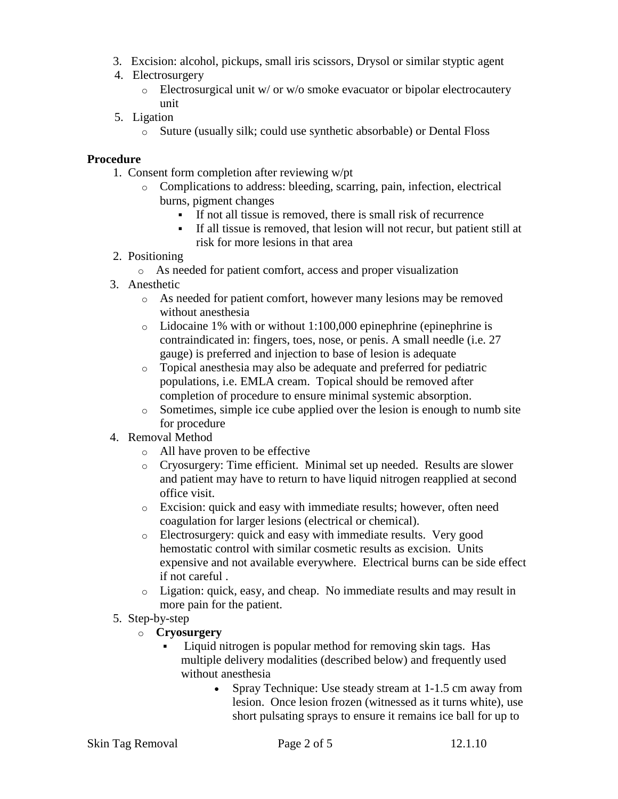- 3. Excision: alcohol, pickups, small iris scissors, Drysol or similar styptic agent
- 4. Electrosurgery
	- o Electrosurgical unit w/ or w/o smoke evacuator or bipolar electrocautery unit
- 5. Ligation
	- o Suture (usually silk; could use synthetic absorbable) or Dental Floss

# **Procedure**

- 1. Consent form completion after reviewing w/pt
	- o Complications to address: bleeding, scarring, pain, infection, electrical burns, pigment changes
		- If not all tissue is removed, there is small risk of recurrence
		- If all tissue is removed, that lesion will not recur, but patient still at risk for more lesions in that area
- 2. Positioning
	- o As needed for patient comfort, access and proper visualization
- 3. Anesthetic
	- o As needed for patient comfort, however many lesions may be removed without anesthesia
	- $\circ$  Lidocaine 1% with or without 1:100,000 epinephrine (epinephrine is contraindicated in: fingers, toes, nose, or penis. A small needle (i.e. 27 gauge) is preferred and injection to base of lesion is adequate
	- o Topical anesthesia may also be adequate and preferred for pediatric populations, i.e. EMLA cream. Topical should be removed after completion of procedure to ensure minimal systemic absorption.
	- $\circ$  Sometimes, simple ice cube applied over the lesion is enough to numb site for procedure
- 4. Removal Method
	- o All have proven to be effective
	- o Cryosurgery: Time efficient. Minimal set up needed. Results are slower and patient may have to return to have liquid nitrogen reapplied at second office visit.
	- o Excision: quick and easy with immediate results; however, often need coagulation for larger lesions (electrical or chemical).
	- o Electrosurgery: quick and easy with immediate results. Very good hemostatic control with similar cosmetic results as excision. Units expensive and not available everywhere. Electrical burns can be side effect if not careful .
	- o Ligation: quick, easy, and cheap. No immediate results and may result in more pain for the patient.
- 5. Step-by-step
	- o **Cryosurgery**
		- Liquid nitrogen is popular method for removing skin tags. Has multiple delivery modalities (described below) and frequently used without anesthesia
			- Spray Technique: Use steady stream at 1-1.5 cm away from lesion. Once lesion frozen (witnessed as it turns white), use short pulsating sprays to ensure it remains ice ball for up to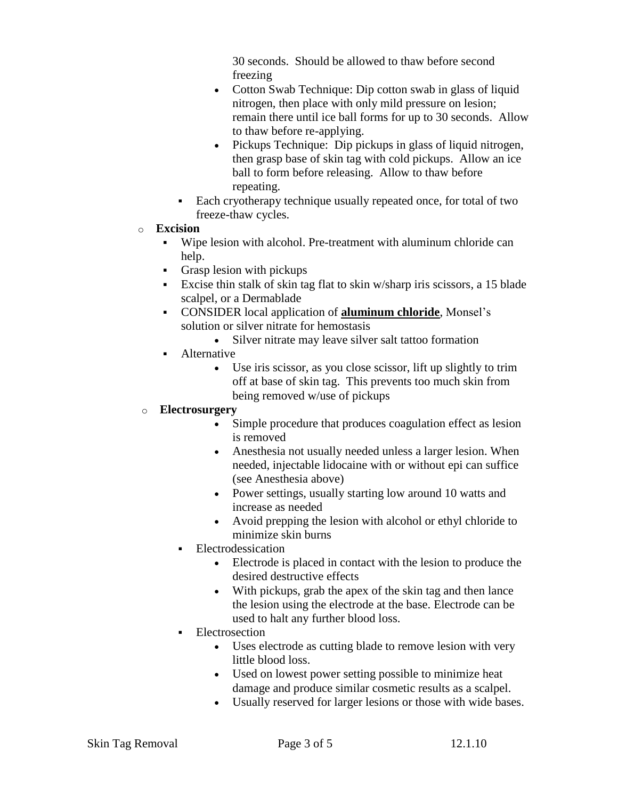30 seconds. Should be allowed to thaw before second freezing

- Cotton Swab Technique: Dip cotton swab in glass of liquid nitrogen, then place with only mild pressure on lesion; remain there until ice ball forms for up to 30 seconds. Allow to thaw before re-applying.
- Pickups Technique: Dip pickups in glass of liquid nitrogen, then grasp base of skin tag with cold pickups. Allow an ice ball to form before releasing. Allow to thaw before repeating.
- Each cryotherapy technique usually repeated once, for total of two freeze-thaw cycles.
- o **Excision**
	- Wipe lesion with alcohol. Pre-treatment with aluminum chloride can help.
	- Grasp lesion with pickups
	- Excise thin stalk of skin tag flat to skin w/sharp iris scissors, a 15 blade scalpel, or a Dermablade
	- CONSIDER local application of **aluminum chloride**, Monsel's solution or silver nitrate for hemostasis
		- Silver nitrate may leave silver salt tattoo formation
	- Alternative
		- Use iris scissor, as you close scissor, lift up slightly to trim off at base of skin tag. This prevents too much skin from being removed w/use of pickups

# o **Electrosurgery**

- Simple procedure that produces coagulation effect as lesion is removed
- Anesthesia not usually needed unless a larger lesion. When needed, injectable lidocaine with or without epi can suffice (see Anesthesia above)
- Power settings, usually starting low around 10 watts and increase as needed
- Avoid prepping the lesion with alcohol or ethyl chloride to minimize skin burns
- **Electrodessication** 
	- Electrode is placed in contact with the lesion to produce the desired destructive effects
	- With pickups, grab the apex of the skin tag and then lance the lesion using the electrode at the base. Electrode can be used to halt any further blood loss.
- Electrosection
	- Uses electrode as cutting blade to remove lesion with very little blood loss.
	- Used on lowest power setting possible to minimize heat damage and produce similar cosmetic results as a scalpel.
	- Usually reserved for larger lesions or those with wide bases.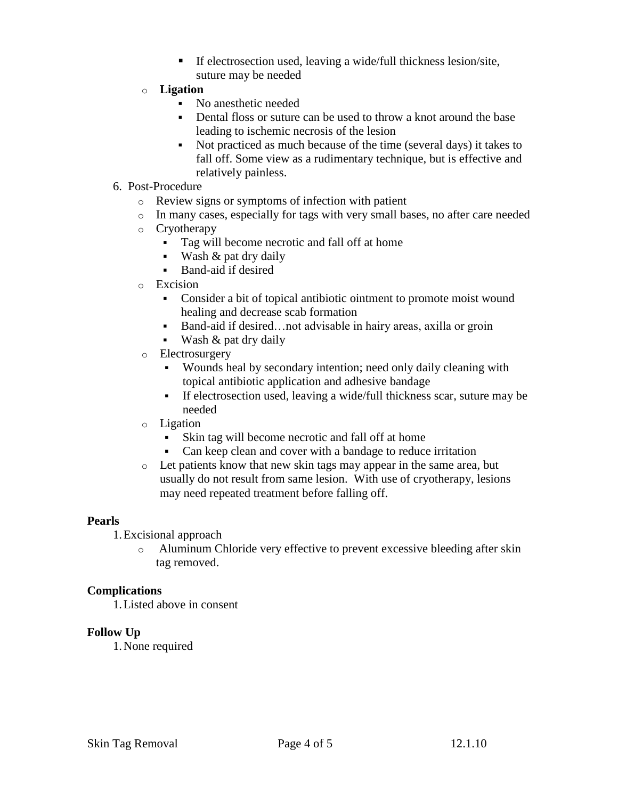- $\blacksquare$  If electrosection used, leaving a wide/full thickness lesion/site, suture may be needed
- o **Ligation**
	- No anesthetic needed
	- Dental floss or suture can be used to throw a knot around the base leading to ischemic necrosis of the lesion
	- Not practiced as much because of the time (several days) it takes to fall off. Some view as a rudimentary technique, but is effective and relatively painless.
- 6. Post-Procedure
	- o Review signs or symptoms of infection with patient
	- o In many cases, especially for tags with very small bases, no after care needed
	- o Cryotherapy
		- Tag will become necrotic and fall off at home
		- Wash & pat dry daily
		- Band-aid if desired
	- o Excision
		- Consider a bit of topical antibiotic ointment to promote moist wound healing and decrease scab formation
		- Band-aid if desired…not advisable in hairy areas, axilla or groin
		- **Wash & pat dry daily**
	- o Electrosurgery
		- Wounds heal by secondary intention; need only daily cleaning with topical antibiotic application and adhesive bandage
		- If electrosection used, leaving a wide/full thickness scar, suture may be needed
	- o Ligation
		- Skin tag will become necrotic and fall off at home
		- Can keep clean and cover with a bandage to reduce irritation
	- o Let patients know that new skin tags may appear in the same area, but usually do not result from same lesion. With use of cryotherapy, lesions may need repeated treatment before falling off.

## **Pearls**

- 1.Excisional approach
	- o Aluminum Chloride very effective to prevent excessive bleeding after skin tag removed.

## **Complications**

1.Listed above in consent

## **Follow Up**

1.None required